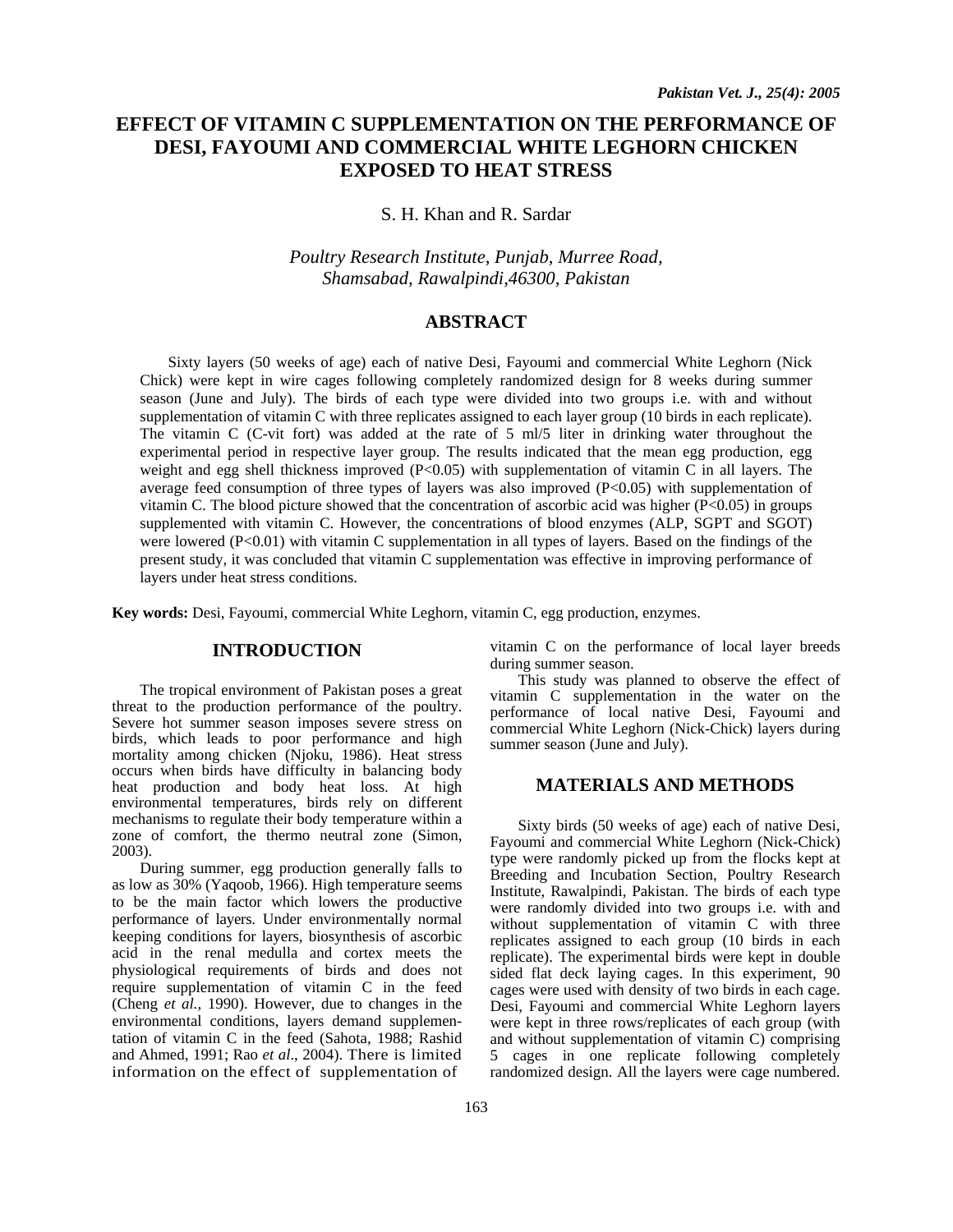# **EFFECT OF VITAMIN C SUPPLEMENTATION ON THE PERFORMANCE OF DESI, FAYOUMI AND COMMERCIAL WHITE LEGHORN CHICKEN EXPOSED TO HEAT STRESS**

S. H. Khan and R. Sardar

*Poultry Research Institute, Punjab, Murree Road, Shamsabad, Rawalpindi,46300, Pakistan* 

# **ABSTRACT**

Sixty layers (50 weeks of age) each of native Desi, Fayoumi and commercial White Leghorn (Nick Chick) were kept in wire cages following completely randomized design for 8 weeks during summer season (June and July). The birds of each type were divided into two groups i.e. with and without supplementation of vitamin C with three replicates assigned to each layer group (10 birds in each replicate). The vitamin C (C-vit fort) was added at the rate of  $5 \text{ ml/5}$  liter in drinking water throughout the experimental period in respective layer group. The results indicated that the mean egg production, egg weight and egg shell thickness improved  $(P<0.05)$  with supplementation of vitamin C in all layers. The average feed consumption of three types of layers was also improved (P<0.05) with supplementation of vitamin C. The blood picture showed that the concentration of ascorbic acid was higher  $(P<0.05)$  in groups supplemented with vitamin C. However, the concentrations of blood enzymes (ALP, SGPT and SGOT) were lowered (P<0.01) with vitamin C supplementation in all types of layers. Based on the findings of the present study, it was concluded that vitamin C supplementation was effective in improving performance of layers under heat stress conditions.

**Key words:** Desi, Fayoumi, commercial White Leghorn, vitamin C, egg production, enzymes.

#### **INTRODUCTION**

The tropical environment of Pakistan poses a great threat to the production performance of the poultry. Severe hot summer season imposes severe stress on birds, which leads to poor performance and high mortality among chicken (Njoku, 1986). Heat stress occurs when birds have difficulty in balancing body heat production and body heat loss. At high environmental temperatures, birds rely on different mechanisms to regulate their body temperature within a zone of comfort, the thermo neutral zone (Simon, 2003).

During summer, egg production generally falls to as low as 30% (Yaqoob, 1966). High temperature seems to be the main factor which lowers the productive performance of layers. Under environmentally normal keeping conditions for layers, biosynthesis of ascorbic acid in the renal medulla and cortex meets the physiological requirements of birds and does not require supplementation of vitamin C in the feed (Cheng *et al.*, 1990). However, due to changes in the environmental conditions, layers demand supplementation of vitamin C in the feed (Sahota, 1988; Rashid and Ahmed, 1991; Rao *et al*., 2004). There is limited information on the effect of supplementation of

vitamin C on the performance of local layer breeds during summer season.

This study was planned to observe the effect of vitamin C supplementation in the water on the performance of local native Desi, Fayoumi and commercial White Leghorn (Nick-Chick) layers during summer season (June and July).

## **MATERIALS AND METHODS**

Sixty birds (50 weeks of age) each of native Desi, Fayoumi and commercial White Leghorn (Nick-Chick) type were randomly picked up from the flocks kept at Breeding and Incubation Section, Poultry Research Institute, Rawalpindi, Pakistan. The birds of each type were randomly divided into two groups i.e. with and without supplementation of vitamin C with three replicates assigned to each group (10 birds in each replicate). The experimental birds were kept in double sided flat deck laying cages. In this experiment, 90 cages were used with density of two birds in each cage. Desi, Fayoumi and commercial White Leghorn layers were kept in three rows/replicates of each group (with and without supplementation of vitamin C) comprising 5 cages in one replicate following completely randomized design. All the layers were cage numbered.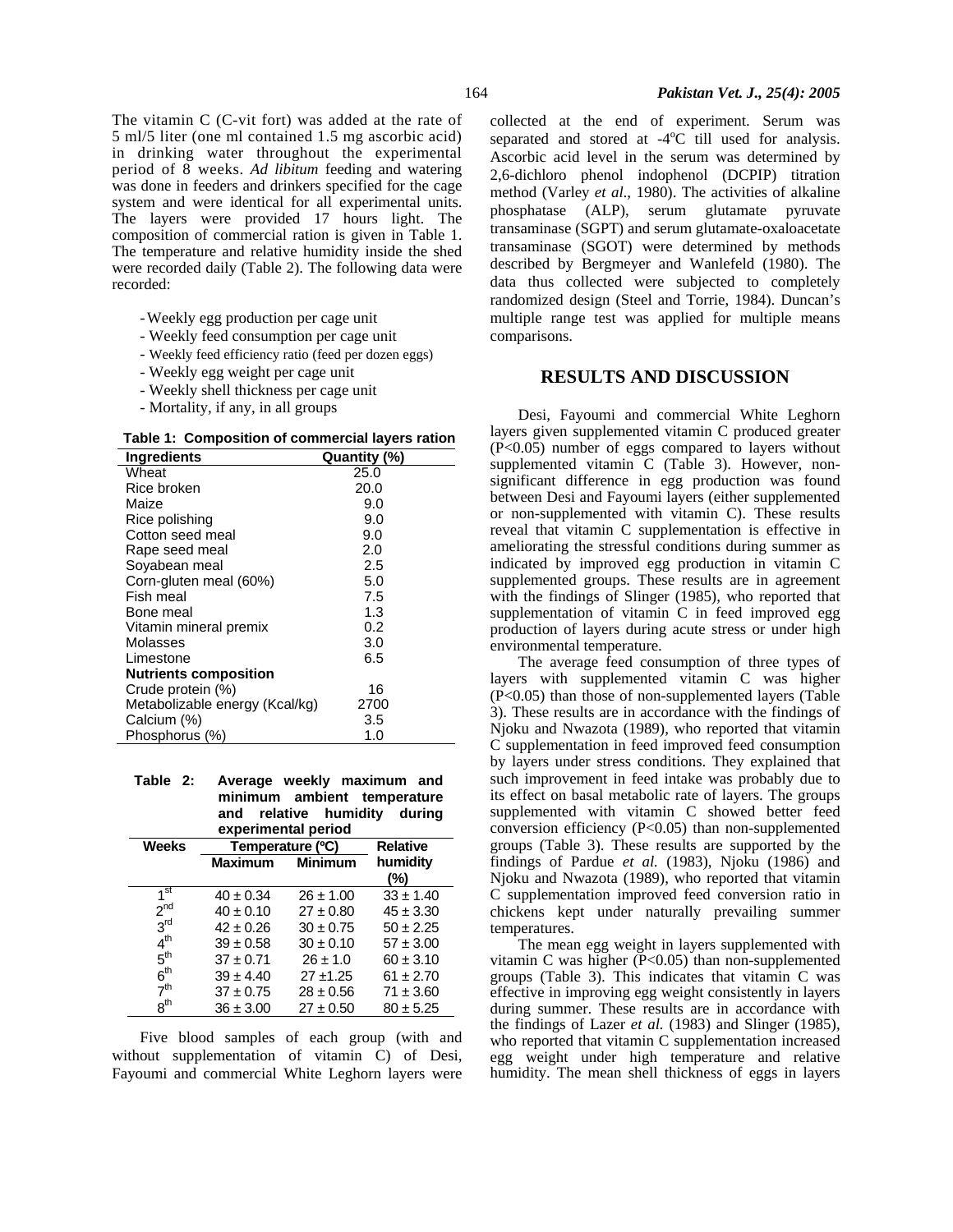The vitamin C (C-vit fort) was added at the rate of 5 ml/5 liter (one ml contained 1.5 mg ascorbic acid) in drinking water throughout the experimental period of 8 weeks. *Ad libitum* feeding and watering was done in feeders and drinkers specified for the cage system and were identical for all experimental units. The layers were provided 17 hours light. The composition of commercial ration is given in Table 1. The temperature and relative humidity inside the shed were recorded daily (Table 2). The following data were recorded:

- -Weekly egg production per cage unit
- Weekly feed consumption per cage unit
- Weekly feed efficiency ratio (feed per dozen eggs)
- Weekly egg weight per cage unit
- Weekly shell thickness per cage unit
- Mortality, if any, in all groups

 **Table 1: Composition of commercial layers ration**

| <b>Ingredients</b>             | Quantity (%) |
|--------------------------------|--------------|
| Wheat                          | 25.0         |
| Rice broken                    | 20.0         |
| Maize                          | 9.0          |
| Rice polishing                 | 9.0          |
| Cotton seed meal               | 9.0          |
| Rape seed meal                 | 2.0          |
| Sovabean meal                  | 2.5          |
| Corn-gluten meal (60%)         | 5.0          |
| Fish meal                      | 7.5          |
| Bone meal                      | 1.3          |
| Vitamin mineral premix         | 0.2          |
| Molasses                       | 3.0          |
| Limestone                      | 6.5          |
| <b>Nutrients composition</b>   |              |
| Crude protein (%)              | 16           |
| Metabolizable energy (Kcal/kg) | 2700         |
| Calcium (%)                    | 3.5          |
| Phosphorus (%)                 | 1.0          |

**Table 2: Average weekly maximum and minimum ambient temperature and relative humidity during experimental period** 

| <b>Weeks</b>    | Temperature (°C)                 | <b>Relative</b> |               |
|-----------------|----------------------------------|-----------------|---------------|
|                 | <b>Maximum</b><br><b>Minimum</b> |                 | humidity      |
|                 |                                  |                 | (%)           |
| 1 <sup>st</sup> | $40 \pm 0.34$                    | $26 \pm 1.00$   | $33 \pm 1.40$ |
| 2 <sup>nd</sup> | $40 \pm 0.10$                    | $27 \pm 0.80$   | $45 \pm 3.30$ |
| 3 <sup>rd</sup> | $42 \pm 0.26$                    | $30 \pm 0.75$   | $50 \pm 2.25$ |
| 4 <sup>th</sup> | $39 \pm 0.58$                    | $30 \pm 0.10$   | $57 \pm 3.00$ |
| 5 <sup>th</sup> | $37 \pm 0.71$                    | $26 \pm 1.0$    | $60 \pm 3.10$ |
| 6 <sup>th</sup> | $39 \pm 4.40$                    | $27 + 1.25$     | $61 \pm 2.70$ |
| 7 <sup>th</sup> | $37 \pm 0.75$                    | $28 \pm 0.56$   | $71 \pm 3.60$ |
| $8^{\text{th}}$ | $36 \pm 3.00$                    | $27 \pm 0.50$   | $80 \pm 5.25$ |

Five blood samples of each group (with and without supplementation of vitamin C) of Desi, Fayoumi and commercial White Leghorn layers were collected at the end of experiment. Serum was separated and stored at  $-4^{\circ}$ C till used for analysis. Ascorbic acid level in the serum was determined by 2,6-dichloro phenol indophenol (DCPIP) titration method (Varley *et al*., 1980). The activities of alkaline phosphatase (ALP), serum glutamate pyruvate transaminase (SGPT) and serum glutamate-oxaloacetate transaminase (SGOT) were determined by methods described by Bergmeyer and Wanlefeld (1980). The data thus collected were subjected to completely randomized design (Steel and Torrie, 1984). Duncan's multiple range test was applied for multiple means comparisons.

### **RESULTS AND DISCUSSION**

Desi, Fayoumi and commercial White Leghorn layers given supplemented vitamin C produced greater (P<0.05) number of eggs compared to layers without supplemented vitamin C (Table 3). However, nonsignificant difference in egg production was found between Desi and Fayoumi layers (either supplemented or non-supplemented with vitamin C). These results reveal that vitamin C supplementation is effective in ameliorating the stressful conditions during summer as indicated by improved egg production in vitamin C supplemented groups. These results are in agreement with the findings of Slinger (1985), who reported that supplementation of vitamin C in feed improved egg production of layers during acute stress or under high environmental temperature.

The average feed consumption of three types of layers with supplemented vitamin C was higher (P<0.05) than those of non-supplemented layers (Table 3). These results are in accordance with the findings of Njoku and Nwazota (1989), who reported that vitamin C supplementation in feed improved feed consumption by layers under stress conditions. They explained that such improvement in feed intake was probably due to its effect on basal metabolic rate of layers. The groups supplemented with vitamin C showed better feed conversion efficiency (P<0.05) than non-supplemented groups (Table 3). These results are supported by the findings of Pardue *et al.* (1983), Njoku (1986) and Njoku and Nwazota (1989), who reported that vitamin C supplementation improved feed conversion ratio in chickens kept under naturally prevailing summer temperatures.

The mean egg weight in layers supplemented with vitamin C was higher  $(P<0.05)$  than non-supplemented groups (Table 3). This indicates that vitamin C was effective in improving egg weight consistently in layers during summer. These results are in accordance with the findings of Lazer *et al.* (1983) and Slinger (1985), who reported that vitamin C supplementation increased egg weight under high temperature and relative humidity. The mean shell thickness of eggs in layers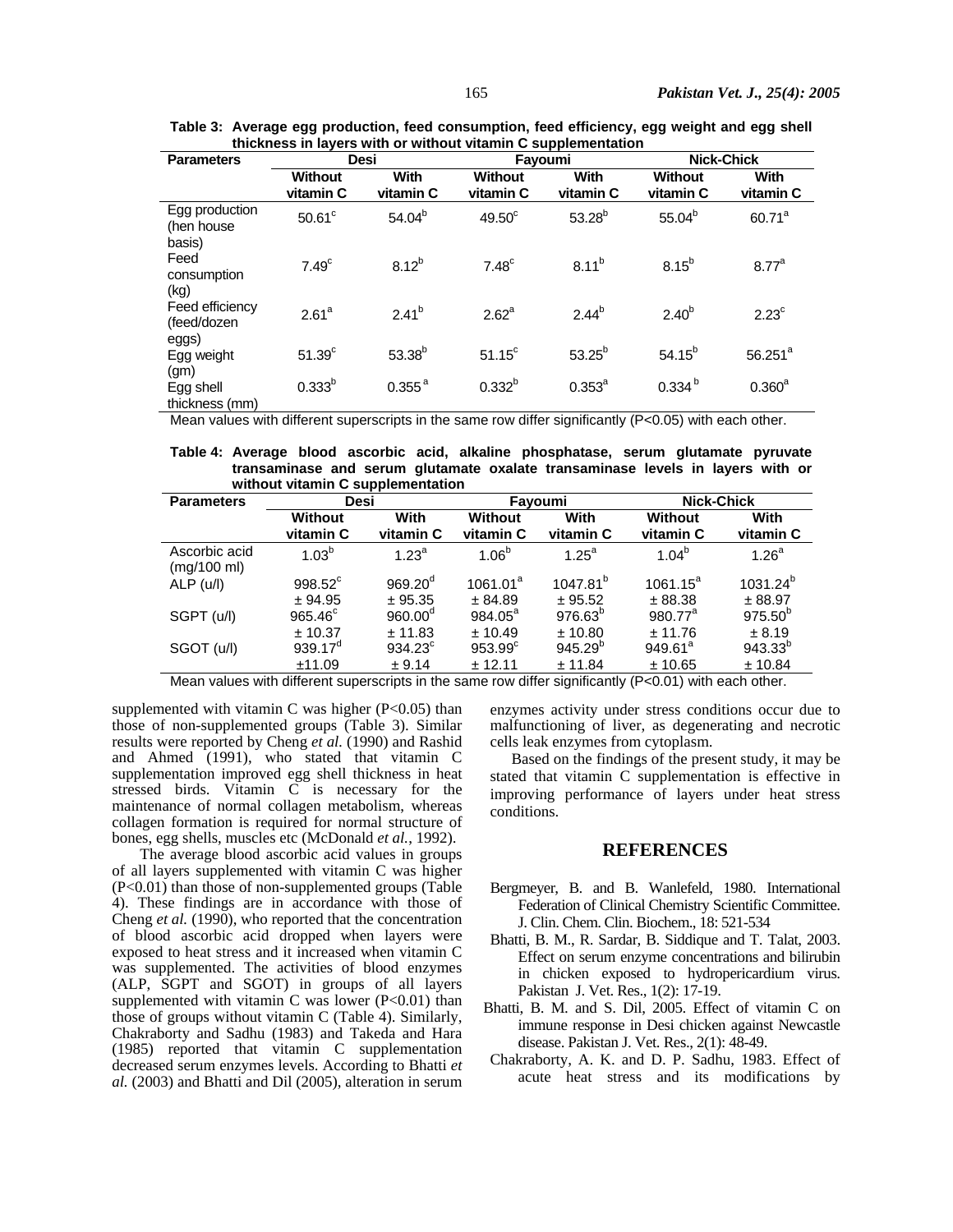| unchiloss in layors with or without vitamin o supplementation |                             |                   |                             |                   |                             |                   |
|---------------------------------------------------------------|-----------------------------|-------------------|-----------------------------|-------------------|-----------------------------|-------------------|
| <b>Parameters</b>                                             | Desi                        |                   | Fayoumi                     |                   | <b>Nick-Chick</b>           |                   |
|                                                               | <b>Without</b><br>vitamin C | With<br>vitamin C | <b>Without</b><br>vitamin C | With<br>vitamin C | <b>Without</b><br>vitamin C | With<br>vitamin C |
| Egg production<br>(hen house<br>basis)                        | $50.61$ °                   | $54.04^{b}$       | $49.50^{\circ}$             | $53.28^{b}$       | $55.04^{b}$                 | $60.71^a$         |
| Feed<br>consumption<br>(kg)                                   | 7.49 <sup>c</sup>           | $8.12^{b}$        | 7.48 <sup>c</sup>           | $8.11^{b}$        | 8.15 <sup>b</sup>           | 8.77 <sup>a</sup> |
| Feed efficiency<br>(feed/dozen<br>eggs)                       | 2.61 <sup>a</sup>           | $2.41^{b}$        | $2.62^a$                    | $2.44^{b}$        | 2.40 <sup>b</sup>           | $2.23^c$          |
| Egg weight<br>(g <sub>m</sub> )                               | 51.39 <sup>c</sup>          | $53.38^{b}$       | $51.15^c$                   | $53.25^{b}$       | $54.15^{b}$                 | $56.251^{a}$      |
| Egg shell<br>thickness (mm)                                   | $0.333^{b}$                 | $0.355^{\,a}$     | $0.332^{b}$                 | $0.353^{a}$       | 0.334 <sup>b</sup>          | $0.360^{a}$       |

**Table 3: Average egg production, feed consumption, feed efficiency, egg weight and egg shell thickness in layers with or without vitamin C supplementation**

Mean values with different superscripts in the same row differ significantly (P<0.05) with each other.

 **Table 4: Average blood ascorbic acid, alkaline phosphatase, serum glutamate pyruvate transaminase and serum glutamate oxalate transaminase levels in layers with or without vitamin C supplementation** 

| <b>Parameters</b>            | Desi                |                   | Fayoumi              |                      | <b>Nick-Chick</b>   |                   |
|------------------------------|---------------------|-------------------|----------------------|----------------------|---------------------|-------------------|
|                              | Without             | With              | Without              | With                 | Without             | With              |
|                              | vitamin C           | vitamin C         | vitamin C            | vitamin C            | vitamin C           | vitamin C         |
| Ascorbic acid<br>(mg/100 ml) | $1.03^{b}$          | 1.23 <sup>a</sup> | $1.06^{b}$           | $1.25^a$             | $1.04^{b}$          | 1.26 <sup>a</sup> |
| ALP (u/l)                    | 998.52 <sup>c</sup> | $969.20^{d}$      | 1061.01 <sup>a</sup> | 1047.81 <sup>b</sup> | $1061.15^a$         | $1031.24^{b}$     |
|                              | ± 94.95             | ± 95.35           | ± 84.89              | ± 95.52              | ± 88.38             | ± 88.97           |
| SGPT (u/l)                   | $965.46^{\circ}$    | $960.00^{\circ}$  | $984.05^a$           | $976.63^{b}$         | 980.77 <sup>a</sup> | $975.50^{b}$      |
|                              | ± 10.37             | ± 11.83           | ± 10.49              | ± 10.80              | ± 11.76             | ± 8.19            |
| SGOT (u/l)                   | $939.17^{\circ}$    | $934.23^{\circ}$  | $953.99^{\circ}$     | $945.29^{b}$         | $949.61^a$          | $943.33^{b}$      |
|                              | ±11.09              | ± 9.14            | ± 12.11              | ± 11.84              | ± 10.65             | ± 10.84           |

Mean values with different superscripts in the same row differ significantly (P<0.01) with each other.

supplemented with vitamin C was higher  $(P<0.05)$  than those of non-supplemented groups (Table 3). Similar results were reported by Cheng *et al.* (1990) and Rashid and Ahmed (1991), who stated that vitamin C supplementation improved egg shell thickness in heat stressed birds. Vitamin C is necessary for the maintenance of normal collagen metabolism, whereas collagen formation is required for normal structure of bones, egg shells, muscles etc (McDonald *et al.*, 1992).

The average blood ascorbic acid values in groups of all layers supplemented with vitamin C was higher (P<0.01) than those of non-supplemented groups (Table 4). These findings are in accordance with those of Cheng *et al.* (1990), who reported that the concentration of blood ascorbic acid dropped when layers were exposed to heat stress and it increased when vitamin C was supplemented. The activities of blood enzymes (ALP, SGPT and SGOT) in groups of all layers supplemented with vitamin C was lower  $(P<0.01)$  than those of groups without vitamin C (Table 4). Similarly, Chakraborty and Sadhu (1983) and Takeda and Hara (1985) reported that vitamin C supplementation decreased serum enzymes levels. According to Bhatti *et al.* (2003) and Bhatti and Dil (2005), alteration in serum

enzymes activity under stress conditions occur due to malfunctioning of liver, as degenerating and necrotic cells leak enzymes from cytoplasm.

Based on the findings of the present study, it may be stated that vitamin C supplementation is effective in improving performance of layers under heat stress conditions.

#### **REFERENCES**

- Bergmeyer, B. and B. Wanlefeld, 1980. International Federation of Clinical Chemistry Scientific Committee. J. Clin. Chem. Clin. Biochem., 18: 521-534
- Bhatti, B. M., R. Sardar, B. Siddique and T. Talat, 2003. Effect on serum enzyme concentrations and bilirubin in chicken exposed to hydropericardium virus. Pakistan J. Vet. Res., 1(2): 17-19.
- Bhatti, B. M. and S. Dil, 2005. Effect of vitamin C on immune response in Desi chicken against Newcastle disease. Pakistan J. Vet. Res., 2(1): 48-49.
- Chakraborty, A. K. and D. P. Sadhu, 1983. Effect of acute heat stress and its modifications by